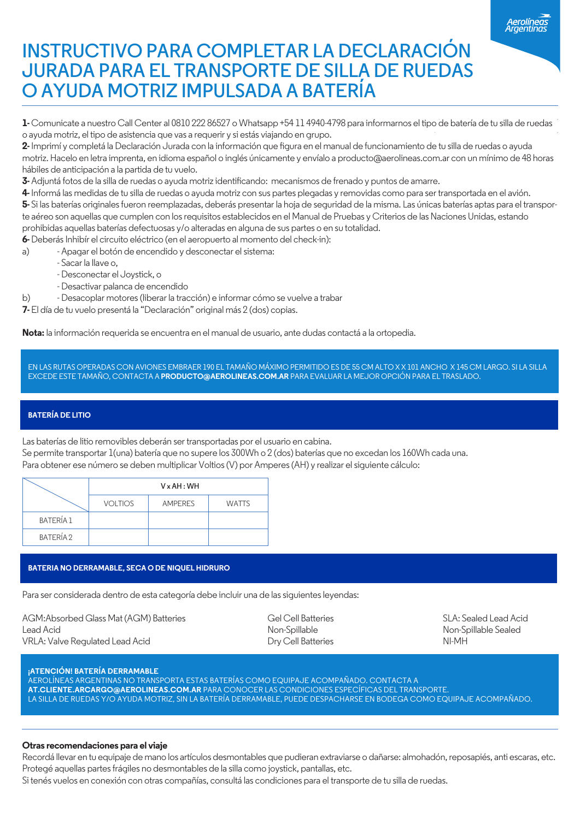## **INSTRUCTIVO PARA COMPLETAR LA DECLARACIÓN JURADA PARA EL TRANSPORTE DE SILLA DE RUEDAS O AYUDA MOTRIZ IMPULSADA A BATERÍA**

**1-** Comunicate a nuestro Call Center al 0810 222 86527 o Whatsapp +54 11 4940-4798 para informarnos el tipo de batería de tu silla de ruedas o ayuda motriz, el tipo de asistencia que vas a requerir y si estás viajando en grupo.

2- Imprimí y completá la Declaración Jurada con la información que figura en el manual de funcionamiento de tu silla de ruedas o ayuda motriz. Hacelo en letra imprenta, en idioma español o inglés únicamente y envíalo a producto@aerolineas.com.ar con un mínimo de 48 horas hábiles de anticipación a la partida de tu vuelo.

**3-** Adjuntá fotos de la silla de ruedas o ayuda motriz identificando: mecanismos de frenado y puntos de amarre.

**4-** Informá las medidas de tu silla de ruedas o ayuda motriz con sus partes plegadas y removidas como para ser transportada en el avión. **5-** Si las baterías originales fueron reemplazadas, deberás presentar la hoja de seguridad de la misma. Las únicas baterías aptas para el transpor-

te aéreo son aquellas que cumplen con los requisitos establecidos en el Manual de Pruebas y Criterios de las Naciones Unidas, estando prohibidas aquellas baterías defectuosas y/o alteradas en alguna de sus partes o en su totalidad.

**6-** Deberás Inhibír el circuito eléctrico (en el aeropuerto al momento del check-in):

a) - Apagar el botón de encendido y desconectar el sistema:

- Sacar la llave o,

- Desconectar el Joystick, o
- Desactivar palanca de encendido

b) - Desacoplar motores (liberar la tracción) e informar cómo se vuelve a trabar

**7-** El día de tu vuelo presentá la "Declaración" original más 2 (dos) copias.

**Nota:** la información requerida se encuentra en el manual de usuario, ante dudas contactá a la ortopedia.

EN LAS RUTAS OPERADAS CON AVIONES EMBRAER 190 EL TAMAÑO MÁXIMO PERMITIDO ES DE 55 CM ALTO X X 101 ANCHO X 145 CM LARGO. SI LA SILLA EXCEDE ESTE TAMAÑO, CONTACTA A **PRODUCTO@AEROLINEAS.COM.AR** PARA EVALUAR LA MEJOR OPCIÓN PARA EL TRASLADO.

### **BATERÍA DE LITIO**

Las baterías de litio removibles deberán ser transportadas por el usuario en cabina. Se permite transportar 1(una) batería que no supere los 300Wh o 2 (dos) baterías que no excedan los 160Wh cada una. Para obtener ese número se deben multiplicar Voltios (V) por Amperes (AH) y realizar el siguiente cálculo:

|                  | $V \times AH : WH$ |                |              |  |
|------------------|--------------------|----------------|--------------|--|
|                  | <b>VOLTIOS</b>     | <b>AMPERES</b> | <b>WATTS</b> |  |
| BATERÍA 1        |                    |                |              |  |
| <b>BATERÍA 2</b> |                    |                |              |  |

#### **BATERIA NO DERRAMABLE, SECA O DE NIQUEL HIDRURO**

Para ser considerada dentro de esta categoría debe incluir una de las siguientes leyendas:

AGM:Absorbed Glass Mat (AGM) Batteries Gel Cell Batteries Gel Cell Batteries SLA: Sealed Lead Acid<br>Lead Acid Non-Spillable Sealed Non-Spillable Sealed Lead Acid Non-Spillable Non-Spillable Sealed VRLA: Valve Regulated Lead Acid **Dry Cell Batteries** NI-MH

#### **¡ATENCIÓN! BATERÍA DERRAMABLE**

AEROLÍNEAS ARGENTINAS NO TRANSPORTA ESTAS BATERÍAS COMO EQUIPAJE ACOMPAÑADO. CONTACTA A **AT.CLIENTE.ARCARGO@AEROLINEAS.COM.AR** PARA CONOCER LAS CONDICIONES ESPECÍFICAS DEL TRANSPORTE. LA SILLA DE RUEDAS Y/O AYUDA MOTRIZ, SIN LA BATERÍA DERRAMABLE, PUEDE DESPACHARSE EN BODEGA COMO EQUIPAJE ACOMPAÑADO.

#### **Otras recomendaciones para el viaje**

Recordá llevar en tu equipaje de mano los artículos desmontables que pudieran extraviarse o dañarse: almohadón, reposapiés, anti escaras, etc. Protegé aquellas partes frágiles no desmontables de la silla como joystick, pantallas, etc.

Si tenés vuelos en conexión con otras compañías, consultá las condiciones para el transporte de tu silla de ruedas.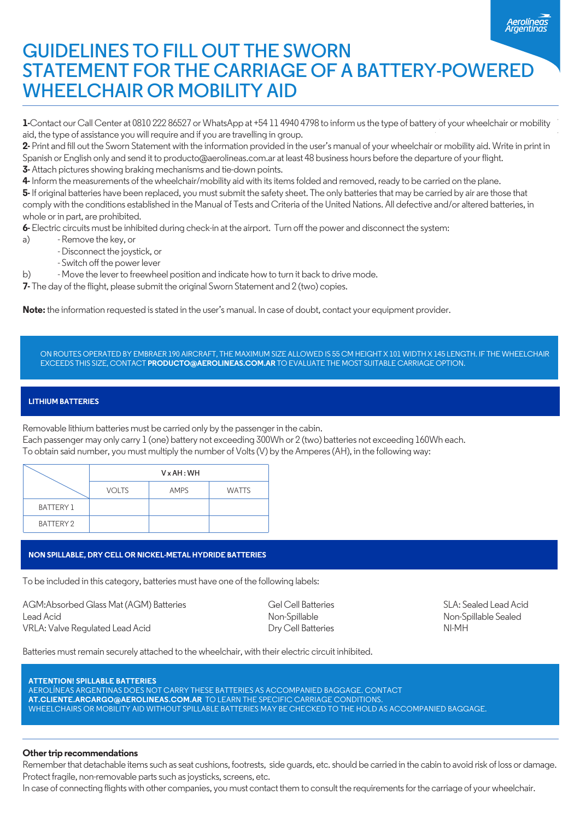# **GUIDELINES TO FILL OUT THE SWORN STATEMENT FOR THE CARRIAGE OF A BATTERY-POWERED WHEELCHAIR OR MOBILITY AID**

**1-**Contact our Call Center at 0810 222 86527 or WhatsApp at +54 11 4940 4798 to inform us the type of battery of your wheelchair or mobility aid, the type of assistance you will require and if you are travelling in group.

**2-** Print and ll out the Sworn Statement with the information provided in the user's manual of your wheelchair or mobility aid. Write in print in Spanish or English only and send it to producto@aerolineas.com.ar at least 48 business hours before the departure of your flight.

**3-** Attach pictures showing braking mechanisms and tie-down points.

**4-** Inform the measurements of the wheelchair/mobility aid with its items folded and removed, ready to be carried on the plane.

**5-** If original batteries have been replaced, you must submit the safety sheet. The only batteries that may be carried by air are those that comply with the conditions established in the Manual of Tests and Criteria of the United Nations. All defective and/or altered batteries, in whole or in part, are prohibited.

6- Electric circuits must be inhibited during check-in at the airport. Turn off the power and disconnect the system:

- a) Remove the key, or
	- Disconnect the joystick, or
	- Switch off the power lever

b) - Move the lever to freewheel position and indicate how to turn it back to drive mode.

**7-** The day of the flight, please submit the original Sworn Statement and 2 (two) copies.

**Note:** the information requested is stated in the user's manual. In case of doubt, contact your equipment provider.

ON ROUTES OPERATED BY EMBRAER 190 AIRCRAFT, THE MAXIMUM SIZE ALLOWED IS 55 CM HEIGHT X 101 WIDTH X 145 LENGTH. IF THE WHEELCHAIR EXCEEDS THIS SIZE, CONTACT **PRODUCTO@AEROLINEAS.COM.AR** TO EVALUATE THE MOST SUITABLE CARRIAGE OPTION.

#### **LITHIUM BATTERIES**

Removable lithium batteries must be carried only by the passenger in the cabin.

Each passenger may only carry 1 (one) battery not exceeding 300Wh or 2 (two) batteries not exceeding 160Wh each.

To obtain said number, you must multiply the number of Volts (V) by the Amperes (AH), in the following way:

|                  | $V \times AH$ : WH |             |              |  |
|------------------|--------------------|-------------|--------------|--|
|                  | <b>VOLTS</b>       | <b>AMPS</b> | <b>WATTS</b> |  |
| <b>BATTERY 1</b> |                    |             |              |  |
| <b>BATTERY 2</b> |                    |             |              |  |

#### **NON SPILLABLE, DRY CELL OR NICKEL-METAL HYDRIDE BATTERIES**

To be included in this category, batteries must have one of the following labels:

AGM:Absorbed Glass Mat (AGM) Batteries Gel Cell Batteries SLA: Sealed Lead Acid Lead Acid Non-Spillable Non-Spillable Sealed VRLA: Valve Regulated Lead Acid Dry Cell Batteries NI-MH

Batteries must remain securely attached to the wheelchair, with their electric circuit inhibited.

**ATTENTION! SPILLABLE BATTERIES** AEROLÍNEAS ARGENTINAS DOES NOT CARRY THESE BATTERIES AS ACCOMPANIED BAGGAGE. CONTACT **AT.CLIENTE.ARCARGO@AEROLINEAS.COM.AR** TO LEARN THE SPECIFIC CARRIAGE CONDITIONS. WHEELCHAIRS OR MOBILITY AID WITHOUT SPILLABLE BATTERIES MAY BE CHECKED TO THE HOLD AS ACCOMPANIED BAGGAGE.

#### **Other trip recommendations**

Remember that detachable items such as seat cushions, footrests, side guards, etc. should be carried in the cabin to avoid risk of loss or damage. Protect fragile, non-removable parts such as joysticks, screens, etc.

In case of connecting flights with other companies, you must contact them to consult the requirements for the carriage of your wheelchair.